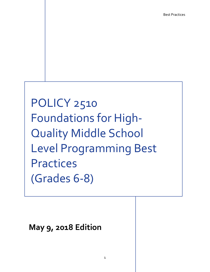POLICY 2510 Foundations for High-Quality Middle School Level Programming Best Practices (Grades 6-8)

**May 9, 2018 Edition**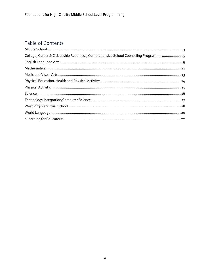### Table of Contents

| College, Career & Citizenship Readiness, Comprehensive School Counseling Program:  5 |  |
|--------------------------------------------------------------------------------------|--|
|                                                                                      |  |
|                                                                                      |  |
|                                                                                      |  |
|                                                                                      |  |
|                                                                                      |  |
|                                                                                      |  |
|                                                                                      |  |
|                                                                                      |  |
|                                                                                      |  |
|                                                                                      |  |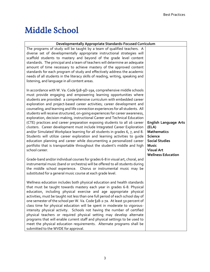### <span id="page-2-0"></span>Middle School

| Developmentally Appropriate Standards-Focused Curriculum                                                                                                                                                                                                                                                                                                                                                                                                                                                                                                                                                                                                                                                                                                                                                                                                                                                                                                                                                                                     |                                                                                                                                                                          |  |
|----------------------------------------------------------------------------------------------------------------------------------------------------------------------------------------------------------------------------------------------------------------------------------------------------------------------------------------------------------------------------------------------------------------------------------------------------------------------------------------------------------------------------------------------------------------------------------------------------------------------------------------------------------------------------------------------------------------------------------------------------------------------------------------------------------------------------------------------------------------------------------------------------------------------------------------------------------------------------------------------------------------------------------------------|--------------------------------------------------------------------------------------------------------------------------------------------------------------------------|--|
| The programs of study will be taught by a team of qualified teachers. A<br>diverse set of developmentally appropriate instructional strategies will<br>scaffold students to mastery and beyond of the grade level content<br>standards. The principal and a team of teachers will determine an adequate<br>amount of time necessary to achieve mastery of the approved content<br>standards for each program of study and effectively address the academic<br>needs of all students in the literacy skills of reading, writing, speaking and<br>listening, and language in all content areas.                                                                                                                                                                                                                                                                                                                                                                                                                                                |                                                                                                                                                                          |  |
| In accordance with W. Va. Code §18-9D-19a, comprehensive middle schools<br>must provide engaging and empowering learning opportunities where<br>students are provided: a comprehensive curriculum with embedded career<br>exploration and project-based career activities; career development and<br>counseling; and learning and life connection experiences for all students. All<br>students will receive structured, on-going experiences for career awareness,<br>exploration, decision-making, instructional Career and Technical Education<br>(CTE) practices and career preparation exposing students to all 16 career<br>clusters. Career development must include Integrated Career Exploration<br>and/or Simulated Workplace learning for all students in grades 6, 7, and 8.<br>Students will utilize career exploration and learning activities to guide<br>education planning and career while documenting a personalized career<br>portfolio that is transportable throughout the student's middle and high<br>school career. | <b>English Language Arts</b><br>(ELA)<br><b>Mathematics</b><br><b>Science</b><br><b>Social Studies</b><br><b>Music</b><br><b>Visual Art</b><br><b>Wellness Education</b> |  |
| Grade-band and/or individual courses for grades 6-8 in visual art, choral, and<br>instrumental music (band or orchestra) will be offered to all students during<br>the middle school experience. Chorus or instrumental music may be<br>substituted for a general music course at each grade level.                                                                                                                                                                                                                                                                                                                                                                                                                                                                                                                                                                                                                                                                                                                                          |                                                                                                                                                                          |  |
| Wellness education includes both physical education and health standards<br>that must be taught towards mastery each year in grades 6-8. Physical<br>education, including physical exercise and age appropriate physical<br>activities, must be taught not less than one full period of each school day of<br>one semester of the school per W. Va. Code §18-2-7a. At least 50 percent of<br>class time for physical education will be spent in moderate to vigorous-<br>intensity physical activity. Schools not having the number of certified<br>physical teachers or required physical setting may develop alternate<br>programs that will enable current staff and physical settings to be used to<br>meet the physical education requirements. Alternate programs shall be<br>submitted to the WVDE for approval.                                                                                                                                                                                                                      |                                                                                                                                                                          |  |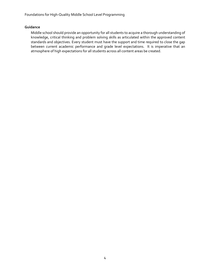Foundations for High-Quality Middle School Level Programming

#### **Guidance**

Middle school should provide an opportunity for all students to acquire a thorough understanding of knowledge, critical thinking and problem solving skills as articulated within the approved content standards and objectives. Every student must have the support and time required to close the gap between current academic performance and grade level expectations. It is imperative that an atmosphere of high expectations for all students across all content areas be created.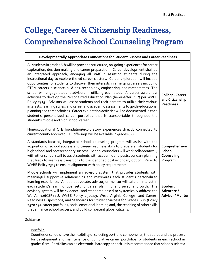## <span id="page-4-0"></span>College, Career & Citizenship Readiness, Comprehensive School Counseling Program

#### **Developmentally Appropriate Foundations for Student Success and Career Readiness**

| All students in grades 6-8 will be provided structured, on-going experiences for career<br>exploration, decision making and career preparation. Career development shall be<br>an integrated approach, engaging all staff in assisting students during the<br>instructional day to explore the 16 career clusters. Career exploration will include<br>opportunities for students to discover their interests in emerging careers including<br>STEM careers in science, oil & gas, technology, engineering, and mathematics. The<br>school will engage student advisors in utilizing each student's career awareness<br>activities to develop the Personalized Education Plan (hereinafter PEP) per WVBE<br>Policy 2315. Advisors will assist students and their parents to utilize their various<br>interests, learning styles, and career and academic assessments to quide educational<br>planning and career choices. Career exploration activities will be documented in each<br>student's personalized career portfolios that is transportable throughout the<br>student's middle and high school career.<br>Non/occupational CTE foundation/exploratory experiences directly connected to | College, Career<br>and Citizenship<br><b>Readiness</b>  |
|-------------------------------------------------------------------------------------------------------------------------------------------------------------------------------------------------------------------------------------------------------------------------------------------------------------------------------------------------------------------------------------------------------------------------------------------------------------------------------------------------------------------------------------------------------------------------------------------------------------------------------------------------------------------------------------------------------------------------------------------------------------------------------------------------------------------------------------------------------------------------------------------------------------------------------------------------------------------------------------------------------------------------------------------------------------------------------------------------------------------------------------------------------------------------------------------------|---------------------------------------------------------|
| current county approved CTE offerings will be available in grades 6-8.                                                                                                                                                                                                                                                                                                                                                                                                                                                                                                                                                                                                                                                                                                                                                                                                                                                                                                                                                                                                                                                                                                                          |                                                         |
| A standards-focused, integrated school counseling program will assist with the<br>acquisition of school success and career-readiness skills to prepare all students for<br>high school and postsecondary success. School counselors will work collaboratively<br>with other school staff to assist students with academic and postsecondary planning<br>that leads to seamless transitions to the identified postsecondary option. Refer to<br>WVBE Policy 2315 to ensure alignment with policy requirements.                                                                                                                                                                                                                                                                                                                                                                                                                                                                                                                                                                                                                                                                                   | Comprehensive<br><b>School</b><br>Counseling<br>Program |
| Middle schools will implement an advisory system that provides students with<br>meaningful supportive relationships and maximizes each student's personalized<br>learning experience. An adult advocate, advisor, or mentor will take an interest in<br>each student's learning, goal setting, career planning, and personal growth. The<br>advisory system will be evidence- and standards-based to systemically address the<br>W. Va. 126CSR44U, WVBE Policy 2520.19, West Virginia College- and Career-<br>Readiness Dispositions, and Standards for Student Success for Grades K-12 (Policy<br>2520.19), career portfolios, social emotional learning and, the teaching of other skills<br>that enhance school success, and build competent global citizens.                                                                                                                                                                                                                                                                                                                                                                                                                                | Student<br>Advocate /<br><b>Advisor / Mentor</b>        |

#### **Guidance**

#### Portfolio

Counties or schools have the flexibility of selecting portfolio components, the source and the process for development and maintenance of cumulative career portfolios for students in each school in grades 6-12. Portfolios can be electronic, hardcopy or both. It is recommended that schools select a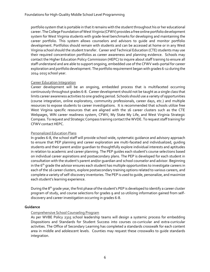portfolio system that is portable in that it remains with the student throughout his or her educational career. The College Foundation of West Virginia (CFWV) provides a free online portfolio development system for West Virginia students with grade-level benchmarks for developing and maintaining the career portfolio. This system allows counselors and advisors to guide and monitor portfolio development. Portfolios should remain with students and can be accessed at home or in any West Virginia school should the student transfer. Career and Technical Education (CTE) students may use their required concentration portfolios as career awareness and planning evidence. Schools may contact the Higher Education Policy Commission (HEPC) to inquire about staff training to ensure all staff understand and are able to support ongoing, embedded use of the CFWV web-portal for career exploration and portfolio development. The portfolio requirement began with grades 6-12 during the 2014-2015 school year.

#### Career Education Integration

Career development will be an ongoing, embedded process that is multifaceted occurring continuously throughout grades 6-8. Career development should not be taught as a single class that limits career awareness activities to one grading period. Schools should use a variety of opportunities (course integration, online exploratory, community professionals, career days, etc.) and multiple resources to expose students to career investigations. It is recommended that schools utilize free West Virginia specific resources that are aligned with the 16 career clusters such as the CTE Webpages, WIN career readiness system, CFWV, My State My Life, and West Virginia Strategic Compass. To request and Strategic Compass training contact the WVDE. To request staff training for CFWV contact HEPC.

#### Personalized Education Plans

In grades 6-8, the school staff will provide school-wide, systematic guidance and advisory approach to ensure that PEP planning and career exploration are multi-faceted and individualized, guiding students and their parent and/or guardian to thoughtfully explore individual interests and aptitudes in relation to academic and career planning. The PEP guides each student's course selections based on individual career aspirations and postsecondary plans. The PEP is developed for each student in consultation with the student's parent and/or guardian and school counselor and advisor. Beginning in the 6<sup>th</sup> grade the advisor ensures each student has multiple opportunities to investigate careers in each of the 16 career clusters, explore postsecondary training options related to various careers, and complete a variety of self-discovery inventories. The PEP is used to guide, personalize, and maximize each student's learning experience.

During the 8<sup>th</sup> grade year, the first phase of the student's PEP is developed to identify a career cluster program of study, and course selections for grades 9 and 10 utilizing information gained from selfdiscovery and career investigation occurring in grades 6-8.

#### **Guidance**

#### Comprehensive School Counseling Program

As per WVBE Policy 2315 school leadership teams will design a systemic process for embedding Dispositions and Standards for Student Success into courses co-curricular and extra-curricular activities. The Office of Secondary Learning has completed a standards crosswalk for each content area in middle and adolescent levels. Counties may request these crosswalks to guide standards integration.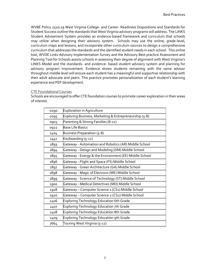WVBE Policy 2520.19 West Virginia College- and Career- Readiness Dispositions and Standards for Student Success outline the standards that West Virginia advisory programs will address. The LINKS Student Advisement System provides an evidence-based framework and curriculum that schools may utilize when designing their advisory system. Schools may use the online, grade-level, curriculum maps and lessons, and incorporate other curriculum sources to design a comprehensive curriculum that addresses the standards and the identified student needs in each school. This online tool, WVDE Links Advisory Implementation Survey and the Advisory Best practice Assessment and Planning Tool for Schools assists schools in assessing their degree of alignment with West Virginia's LINKS Model and the standards- and evidence- based student advisory system and planning for advisory program improvement. Evidence shows students remaining with the same advisor throughout middle level will ensure each student has a meaningful and supportive relationship with their adult advocate and peers. This practice promotes personalization of each student's learning experience and PEP development.

#### CTE Foundational Courses

Schools are encouraged to offer CTE foundation courses to promote career exploration in their areas of interest.

| 0290 | <b>Exploration in Agriculture</b>                      |
|------|--------------------------------------------------------|
| 0295 | Exploring Business, Marketing & Entrepreneurship (5-8) |
| 0903 | Parenting & Strong Families (8-12)                     |
| 0922 | <b>Base Life Basics</b>                                |
| 1404 | Business Preparation (5-8)                             |
| 1441 | Keyboarding (5-12)                                     |
| 1893 | Gateway - Automation and Robotics (AR) Middle School   |
| 1894 | Gateway - Design and Modeling (DM) Middle School       |
| 1895 | Gateway - Energy & the Environment (EE) Middle School  |
| 1896 | Gateway - Flight and Space (FS) Middle School          |
| 1897 | Gateway - Green Architecture (GA) Middle School        |
| 1898 | Gateway - Magic of Electrons (ME) Middle School        |
| 1899 | Gateway - Science of Technology (ST) Middle School     |
| 1900 | Gateway - Medical Detectives (MD) Middle School        |
| 1918 | Gateway - Computer Science 1 (CS1) Middle School       |
| 1920 | Gateway - Computer Science 2 (CS2) Middle School       |
| 2406 | <b>Exploring Technology Education 6th Grade</b>        |
| 2407 | Exploring Technology Education 7th Grade               |
| 2408 | <b>Exploring Technology Education 8th Grade</b>        |
| 2409 | <b>Exploring Technology Education 9th Grade</b>        |
| 7664 | Touring West Virginia (5-12)                           |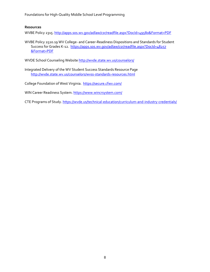Foundations for High-Quality Middle School Level Programming

#### **Resources**

WVBE Policy 2315[. http://apps.sos.wv.gov/adlaw/csr/readfile.aspx?DocId=49580&Format=PDF](http://apps.sos.wv.gov/adlaw/csr/readfile.aspx?DocId=49580&Format=PDF)

WVBE Policy 2520.19 WV College- and Career-Readiness Dispositions and Standards for Student Success for Grades K-12. [https://apps.sos.wv.gov/adlaw/csr/readfile.aspx?DocId=48257](https://apps.sos.wv.gov/adlaw/csr/readfile.aspx?DocId=48257&Format=PDF) [&Format=PDF](https://apps.sos.wv.gov/adlaw/csr/readfile.aspx?DocId=48257&Format=PDF)

WVDE School Counseling Websit[e http://wvde.state.wv.us/counselors/](http://wvde.state.wv.us/counselors/)

Integrated Delivery of the WV Student Success Standards Resource Page <http://wvde.state.wv.us/counselors/wvss-standards-resources.html>

College Foundation of West Virginia.<https://secure.cfwv.com/>

WIN Career Readiness System.<https://www.wincrsystem.com/>

CTE Programs of Study.<https://wvde.us/technical-education/curriculum-and-industry-credentials/>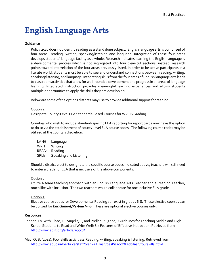### English Language Arts

#### **Guidance**

Policy 2510 does not identify reading as a standalone subject. English language arts is comprised of four areas: reading, writing, speaking/listening and language. Integration of these four areas develops students' language facility as a whole. Research indicates learning the English language is a developmental process which is not segregated into four clear-cut sections; instead, research points toward interrelation of the four areas previously listed. In order to be active participants in a literate world, students must be able to see and understand connections between reading, writing, speaking/listening, and language. Integrating skills from the four areas of English language arts leads to classroom activities that allow for well-rounded development and progress in all areas of language learning. Integrated instruction provides meaningful learning experiences and allows students multiple opportunities to apply the skills they are developing.

Below are some of the options districts may use to provide additional support for reading:

#### Option 1:

Designate County-Level ELA Standards-Based Courses for WVEIS Grading

Counties who wish to include standard-specific ELA reporting for report cards now have the option to do so via the establishment of county-level ELA course codes. The following course codes may be utilized at the county's discretion:

LANG: Language WRIT: Writing READ: Reading SPLI: Speaking and Listening

Should a district elect to designate the specific course codes indicated above, teachers will still need to enter a grade for ELA that is inclusive of the above components.

#### Option 2:

Utilize a team teaching approach with an English Language Arts Teacher and a Reading Teacher, much like with inclusion. The two teachers would collaborate for one inclusive ELA grade.

#### Option 3:

Elective course codes for Developmental Reading still exist in grades 6-8. These elective courses can be utilized for *Enrichment/Re-teaching*. These are optional elective courses only.

#### **Resources**

- Langer, J.A. with Close, E., Angelis, J., and Preller, P. (2000). Guidelines for Teaching Middle and High School Students to Read and Write Well: Six Features of Effective Instruction. Retrieved from <http://www.adlit.org/article/19907/>
- May, O. B. (2011). Four skills activities: Reading, writing, speaking & listening. Retrieved from <http://www.educ.ualberta.ca/staff/olenka.Bilash/best%20of%20bilash/fourskills.html>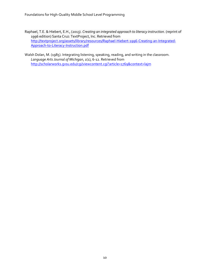Foundations for High-Quality Middle School Level Programming

Raphael, T.E. & Hiebert, E.H., (2013). *Creating an integrated approach to literacy instruction.* (reprint of 1996 edition) Santa Cruz: TextProject, Inc. Retrieved from [http://textproject.org/assets/library/resources/Raphael-Hiebert-1996-Creating-an-Integrated-](http://textproject.org/assets/library/resources/Raphael-Hiebert-1996-Creating-an-Integrated-Approach-to-Literacy-Instruction.pdf)[Approach-to-Literacy-Instruction.pdf](http://textproject.org/assets/library/resources/Raphael-Hiebert-1996-Creating-an-Integrated-Approach-to-Literacy-Instruction.pdf)

Walsh Dolan, M. (1985). Integrating listening, speaking, reading, and writing in the classroom. *Language Arts Journal of Michigan*, *1*(1), 6-12. Retrieved from <http://scholarworks.gvsu.edu/cgi/viewcontent.cgi?article=1769&context=lajm>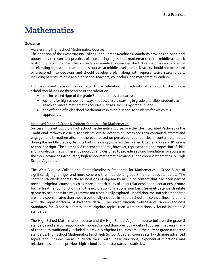### <span id="page-10-0"></span>Mathematics

#### **Guidance**

#### Accelerating High School Mathematics Courses

The adoption of the West Virginia College- and Career-Readiness Standards provides an additional opportunity to reconsider practices of accelerating high school mathematics to the middle school. It is strongly recommended that districts systematically consider the full range of issues related to accelerating high school mathematics courses at middle level grades. Districts should not be rushed or pressured into decisions and should develop a plan along with representative stakeholders, including parents, middle and high school teachers, counselors, and mathematics leaders.

Discussions and decision-making regarding accelerating high school mathematics to the middle school should include three areas of consideration:

- the increased rigor of the grade 8 mathematics standards;
- options for high school pathways that accelerate starting in grade 9 to allow students to reach advanced mathematics courses such as Calculus by grade 12; and
- the offering of high school mathematics in middle school to students for which it is appropriate.

#### Increased Rigor of Grade 8 Content Standards for Mathematics

Success in the introductory high school mathematics course for either the Integrated Pathway or the Traditional Pathway is crucial to students' overall academic success and their continued interest and engagement in mathematics. In the past, based on perceived redundancies in content standards during the middle grades, districts had increasingly offered the former Algebra I course in 8<sup>th</sup> grade to enhance rigor. The current K-8 content standards, however, represent a tight progression of skills and knowledge that is inherently rigorous and designed to provide a strong foundation for success in the more advanced introductory high school mathematics course, High School Mathematics I or High School Algebra I.

The West Virginia College-and Career-Readiness Standards for Mathematics – Grade 8 are of significantly higher rigor and more coherent than traditional grade 8 mathematics standards. The content standards address the foundations of algebra by including content that had been part of previous Algebra I courses, such as more in-depth study of linear relationships and equations, a more formal treatment of functions, and the exploration of irrational numbers. Geometry standards relate geometry to algebra in a way that was not traditionally explored. In addition, the statistics standards are more sophisticated than those traditionally included in middle school and connect linear relations with the representation of bivariate data. The West Virginia College-and Career-Readiness Standards for Grade 8 address more algebra topics than were traditionally found in grade 8 standards.

The High School Mathematics I course and the High School Algebra I course build on the grade 8 standards and are correspondingly more advanced than previous Algebra I courses. Because many of the topics traditionally included in previous Algebra I courses are in the current grade 8 content standards, High School Mathematics I and High School Algebra I courses start with more advanced topics and includes more in depth work with linear functions, exponential functions and relationships, and the previous high school content standards in statistics.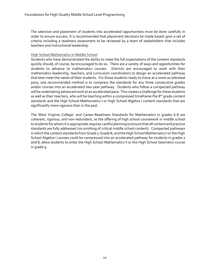The selection and placement of students into accelerated opportunities must be done carefully in order to ensure success. It is recommended that placement decisions be made based upon a set of criteria including a readiness assessment to be reviewed by a team of stakeholders that includes teachers and instructional leadership.

#### High School Mathematics in Middle School

Students who have demonstrated the ability to meet the full expectations of the content standards quickly should, of course, be encouraged to do so. There are a variety of ways and opportunities for students to advance to mathematics courses. Districts are encouraged to work with their mathematics leadership, teachers, and curriculum coordinators to design an accelerated pathway that best meet the needs of their students. For those students ready to move at a more accelerated pace, one recommended method is to compress the standards for any three consecutive grades and/or courses into an accelerated two-year pathway. Students who follow a compacted pathway will be undertaking advanced work at an accelerated pace. This creates a challenge for these students as well as their teachers, who will be teaching within a compressed timeframe the 8<sup>th</sup> grade content standards and the High School Mathematics I or High School Algebra I content standards that are significantly more rigorous than in the past.

The West Virginia College- and Career-Readiness Standards for Mathematics in grades 6-8 are coherent, rigorous, and non-redundant, so the offering of high school coursework in middle school to students for whom it is appropriate requires careful planning to ensure that all content and practice standards are fully addressed (no omitting of critical middle school content). Compacted pathways in which the content standards from Grade 7, Grade 8, and the High School Mathematics I or the High School Algebra I courses could be compressed into an accelerated pathway for students in grades 7 and 8, allow students to enter the High School Mathematics II or the High School Geometry course in grade 9.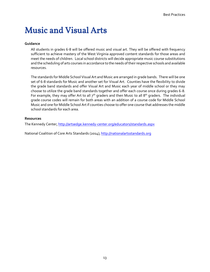### <span id="page-12-0"></span>Music and Visual Arts

#### **Guidance**

All students in grades 6-8 will be offered music and visual art. They will be offered with frequency sufficient to achieve mastery of the West Virginia approved content standards for those areas and meet the needs of children. Local school districts will decide appropriate music course substitutions and the scheduling of arts courses in accordance to the needs of their respective schools and available resources.

The standards for Middle School Visual Art and Music are arranged in grade bands. There will be one set of 6-8 standards for Music and another set for Visual Art. Counties have the flexibility to divide the grade band standards and offer Visual Art and Music each year of middle school or they may choose to utilize the grade band standards together and offer each course once during grades 6-8. For example, they may offer Art to all  $7<sup>th</sup>$  graders and then Music to all 8<sup>th</sup> graders. The individual grade course codes will remain for both areas with an addition of a course code for Middle School Music and one for Middle School Art if counties choose to offer one course that addresses the middle school standards for each area.

#### **Resources**

The Kennedy Center,<http://artsedge.kennedy-center.org/educators/standards.aspx>

National Coalition of Core Arts Standards (2014), [http://nationalartsstandards.org](http://nationalartsstandards.org/)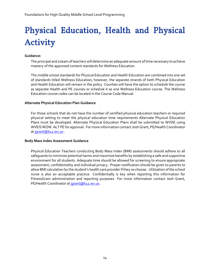# <span id="page-13-0"></span>Physical Education, Health and Physical Activity

#### **Guidance:**

The principal and a team of teachers will determine an adequate amount of time necessary to achieve mastery of the approved content standards for Wellness Education.

The middle school standards for Physical Education and Health Education are combined into one set of standards titled Wellness Education; however, the separate strands of both Physical Education and Health Education will remain in the policy. Counties will have the option to schedule the course as separate Health and PE courses or schedule it as one Wellness Education course. The Wellness Education course codes can be located in the Course Code Manual.

#### **Alternate Physical Education Plan Guidance**

For those schools that do not have the number of certified physical education teachers or required physical setting to meet the physical education time requirements Alternate Physical Education Plans must be developed. Alternate Physical Education Plans shall be submitted to WVDE using WVEIS WOW. ALT PE for approval. For more information contact Josh Grant, PE/Health Coordinator at jarant@k12.wv.us.

#### **Body Mass Index Assessment Guidance**

Physical Education Teachers conducting Body Mass Index (BMI) assessments should adhere to all safeguards to minimize potential harms and maximize benefits by establishing a safe and supportive environment for all students. Adequate time should be allowed for screening to ensure appropriate assessment, confidentiality and individual privacy. Proper notification should be given to parents to allow BMI calculation by the student's health care provider if they so choose. Utilization of the school nurse is also an acceptable practice. Confidentially is key when reporting this information for FitnessGram administration and reporting purposes. For more information contact Josh Grant, PE/Health Coordinator at jarant@k12.wv.us.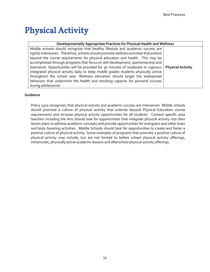### <span id="page-14-0"></span>Physical Activity

| Developmentally Appropriate Practices for Physical Health and Wellness                                                                                                                                                                                                                                                                                                                                                                                                                                                                                                                                                                                                                                           |                          |  |
|------------------------------------------------------------------------------------------------------------------------------------------------------------------------------------------------------------------------------------------------------------------------------------------------------------------------------------------------------------------------------------------------------------------------------------------------------------------------------------------------------------------------------------------------------------------------------------------------------------------------------------------------------------------------------------------------------------------|--------------------------|--|
| Middle schools should recognize that healthy lifestyle and academic success are<br>tightly interwoven. Therefore, schools should promote wellness activities that extend<br>beyond the course requirements for physical education and health. This may be<br>accomplished through programs that focus on skill development, sportsmanship and<br>teamwork. Opportunities will be provided for 30 minutes of moderate to vigorous<br>integrated physical activity daily to keep middle grades students physically active<br>throughout the school year. Wellness education should target the widespread<br>behaviors that undermine the health and resulting capacity for personal success<br>during adolescence. | <b>Physical Activity</b> |  |

#### **Guidance**

Policy 2510 recognizes that physical activity and academic success are interwoven. Middle schools should promote a culture of physical activity that extends beyond Physical Education course requirements and increase physical activity opportunities for all students. Content specific area teachers including the Arts should look for opportunities that integrate physical activity into their lesson plans to address academic concepts and provide opportunities for energizers and other brain and body boosting activities. Middle Schools should look for opportunities to create and foster a positive culture of physical activity. Some examples of programs that promote a positive culture of physical activity may include, but are not limited to before school physical activity offerings, intramurals, physically active academic lessons and afterschool physical activity offerings.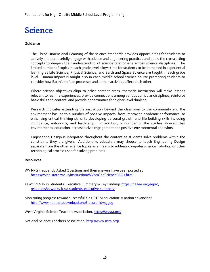### <span id="page-15-0"></span>Science

#### **Guidance**

The Three-Dimensional Learning of the science standards provides opportunities for students to actively and purposefully engage with science and engineering practices and apply the crosscutting concepts to deepen their understanding of science phenomena across science disciplines. The limited number of topics in each grade level allows time for students to be immersed in experiential learning as Life Science, Physical Science, and Earth and Space Science are taught in each grade level. Human Impact is taught also in each middle school science course prompting students to consider how Earth's surface processes and human activities affect each other.

Where science objectives align to other content areas, thematic instruction will make lessons relevant to real-life experiences, provide connections among various curricular disciplines, reinforce basic skills and content, and provide opportunities for higher-level thinking.

Research indicates extending the instruction beyond the classroom to the community and the environment has led to a number of positive impacts, from improving academic performance, to enhancing critical thinking skills, to developing personal growth and life-building skills including confidence, autonomy, and leadership. In addition, a number of the studies showed that environmental education increased civic engagement and positive environmental behaviors.

Engineering Design is integrated throughout the content as students solve problems within the constraints they are given. Additionally, educators may choose to teach Engineering Design separate from the other science topics as a means to address computer science, robotics, or other technological process used for solving problems.

#### **Resources**

WV NxG Frequently Asked Questions and their answers have been posted at <https://wvde.state.wv.us/instruction/WVNxGenScienceFAQs.html>

[eeWORKS K-12 Students: Executive Summary & Key Findings](https://naaee.org/eepro/resources/eeworks-k-12-students-executive-summary) [https://naaee.org/eepro/](https://naaee.org/eepro/resources/eeworks-k-12-students-executive-summary) [resources/eeworks-k-12-students-executive-summary](https://naaee.org/eepro/resources/eeworks-k-12-students-executive-summary)

Monitoring progress toward successful K-12 STEM education: A nation advancing? [http://www.nap.edu/download.php?record\\_id=13509](http://www.nap.edu/download.php?record_id=13509)

[West Virginia Science Teachers Association, https://wvsta.org/](https://wvsta.org/)

[National Science Teachers Association, http://www.nsta.org/](http://www.nsta.org/)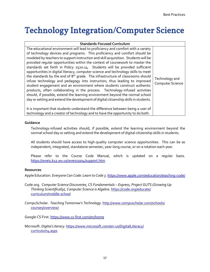### <span id="page-16-0"></span>Technology Integration/Computer Science

| <b>Standards-Focused Curriculum</b>                                                                                                                                                                                                                                                                                                                                                                                                                                                                                                                                                                                                                                                                                                                                                                                                                                                                                                                                                                                                                                                                                                                                                          |                                           |  |
|----------------------------------------------------------------------------------------------------------------------------------------------------------------------------------------------------------------------------------------------------------------------------------------------------------------------------------------------------------------------------------------------------------------------------------------------------------------------------------------------------------------------------------------------------------------------------------------------------------------------------------------------------------------------------------------------------------------------------------------------------------------------------------------------------------------------------------------------------------------------------------------------------------------------------------------------------------------------------------------------------------------------------------------------------------------------------------------------------------------------------------------------------------------------------------------------|-------------------------------------------|--|
| The educational environment will lead to proficiency and comfort with a variety<br>of technology devices and programs. This proficiency and comfort should be<br>modeled by teachers to support instruction and skill acquisition. Students will be<br>provided reqular opportunities within the context of coursework to master the<br>standards set forth in Policy 2520.14. Students will be provided sufficient<br>opportunities in digital literacy, computer science and technology skills to meet<br>the standards by the end of 8 <sup>th</sup> grade. The infrastructure of classrooms should<br>infuse technology and pedagogy into instruction, thus leading to improved<br>student engagement and an environment where students construct authentic<br>products, often collaborating in the process. Technology-infused activities<br>should, if possible, extend the learning environment beyond the normal school<br>day or setting and extend the development of digital citizenship skills in students.<br>It is important that students understand the difference between being a user of<br>technology and a creator of technology and to have the opportunity to do both. | Technology and<br><b>Computer Science</b> |  |

#### **Guidance**

Technology-infused activities should, if possible, extend the learning environment beyond the normal school day or setting and extend the development of digital citizenship skills in students.

All students should have access to high-quality computer science opportunities. This can be as independent, integrated, standalone semester, year-long course, or on a rotation each year.

Please refer to the Course Code Manual, which is updated on a regular basis. <https://wveis.k12.wv.us/wveis2004/support.htm>

#### **Resources**

Apple Education. *Everyone Can Code: Learn to Code 3.* <https://www.apple.com/education/teaching-code/>

- Code.org. *Computer Science Discoveries, CS Fundamentals – Express, Project GUTS (Growing Up Thinking Scientifically), Computer Science is Algebra.* [https://code.org/educate/](https://code.org/educate/curriculum/middle-school) [curriculum/middle-school](https://code.org/educate/curriculum/middle-school)
- CompuScholar. *Teaching Tomorrow's Technology.* [http://www.compuscholar.com/schools/](http://www.compuscholar.com/schools/courses/overview/) [courses/overview/](http://www.compuscholar.com/schools/courses/overview/)

Google CS First.<https://www.cs-first.com/en/home>

Microsoft. *Digital Literacy.* [https://www.microsoft.com/en-us/DigitalLiteracy/](https://www.microsoft.com/en-us/DigitalLiteracy/curriculum4.aspx) [curriculum4.aspx](https://www.microsoft.com/en-us/DigitalLiteracy/curriculum4.aspx)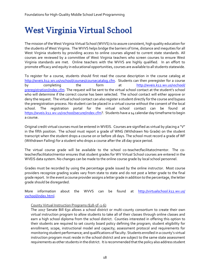### <span id="page-17-0"></span>West Virginia Virtual School

The mission of the West Virginia Virtual School (WVVS) is to assure consistent, high quality education for the students of West Virginia. The WVVS helps bridge the barriers of time, distance and inequities for all West Virginia students by providing access to online courses aligned to current state standards. All courses are reviewed by a committee of West Virginia teachers who screen courses to ensure West Virginia standards are met. Online teachers with the WVVS are highly qualified. In an effort to promote efficacy and equity in educational opportunities, courses are available to all students statewide.

To register for a course, students should first read the course description in the course catalog at [http://wveis.k12.wv.us/vschool/courses/coursecatalog.cfm.](http://wveis.k12.wv.us/vschool/courses/coursecatalog.cfm) Students can then preregister for a course by completing the form at [http://wveis.k12.wv.us/vschool/](http://wveis.k12.wv.us/vschool/preregistration/index.cfm) [preregistration/index.cfm](http://wveis.k12.wv.us/vschool/preregistration/index.cfm). The request will be sent to the virtual school contact at the student's school who will determine if the correct course has been selected. The school contact will either approve or deny the request. The virtual school contact can also register a student directly for the course and bypass the preregistration process. No student can be placed in a virtual course without the consent of the local school. The registration portal for the virtual school contact can be found at [https://wveis.k12.wv.us/vschool/secure/index.cfm?](https://wveis.k12.wv.us/vschool/secure/index.cfm). Students have a 14 calendar day timeframe to begin a course.

Original credit virtual courses must be entered in WVEIS. Courses are signified as virtual by placing a "V" in the fifth position. The school must report a grade of WNG (Withdrawn No Grade) on the student transcript when the student drops a course on or before 28 days. The school must record a grade of WF (Withdrawn Failing) for a student who drops a course after the 28 day grace period.

The virtual course grade will be available to the school co-teacher/facilitator/mentor. The coteacher/facilitator/mentor ensures that student grades for WV Virtual School courses are entered in the WVEIS data system. No changes can be made to the online course grade by local school personnel.

Grades must be recorded by using the percentage grade issued by the online instructor. Most course providers recognize grading scales vary from state to state and do not post a letter grade to the final grade report. In the event a course provider assigns a letter grade in addition to the percentage, the letter grade should be disregarded.

More information about the WVVS can be found at [http://virtualschool.k12.wv.us/](http://virtualschool.k12.wv.us/vschool/index.html) [vschool/index.html.](http://virtualschool.k12.wv.us/vschool/index.html)

#### County Virtual Instruction Programs (§18-5F-1-6)

The 2017 Senate Bill 630 allows a school district or multi-county consortium to create their own virtual instruction program to allow students to take all of their classes through online classes and earn a high school diploma from the school district. Counties interested in offering this option to their students are required to set county board policy defining the program; student eligibility for enrollment; scope, instructional model and capacity; assessment protocol and requirements for monitoring student performance; and qualifications of faculty. Students enrolled in a county's virtual instruction program must reside in the school district and are subject to the same state assessment requirements as other students in the district. It is recommended that the policy also address student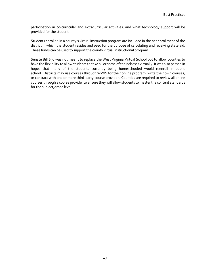participation in co-curricular and extracurricular activities, and what technology support will be provided for the student.

Students enrolled in a county's virtual instruction program are included in the net enrollment of the district in which the student resides and used for the purpose of calculating and receiving state aid. These funds can be used to support the county virtual instructional program.

Senate Bill 630 was not meant to replace the West Virginia Virtual School but to allow counties to have the flexibility to allow students to take all or some of their classes virtually. It was also passed in hopes that many of the students currently being homeschooled would reenroll in public school. Districts may use courses through WVVS for their online program, write their own courses, or contract with one or more third-party course provider. Counties are required to review all online courses through a course provider to ensure they will allow students to master the content standards for the subject/grade level.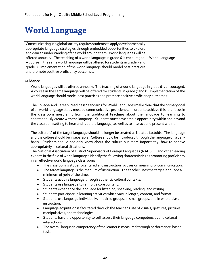## <span id="page-19-0"></span>World Language

| Communicating in a global society requires students to apply developmentally    |                |
|---------------------------------------------------------------------------------|----------------|
| appropriate language strategies through embedded opportunities to explore       |                |
| and gain an understanding of the world around them. World languages will be     |                |
| offered annually. The teaching of a world language in grade 6 is encouraged.    | World Language |
| A course in the same world language will be offered for students in grade 7 and |                |
| grade 8. Implementation of the world language should model best practices       |                |
| and promote positive proficiency outcomes.                                      |                |

#### **Guidance**

World languages will be offered annually. The teaching of a world language in grade 6 is encouraged. A course in the same language will be offered for students in grade 7 and 8. Implementation of the world language should model best practices and promote positive proficiency outcomes.

The College- and Career-Readiness Standards for World Languages make clear that the primary goal of all world language study must be communicative proficiency. In order to achieve this, the focus in the classroom must shift from the traditional **teaching** about the language to **learning** to spontaneously create with the language. Students must have ample opportunity within and beyond the classroom setting to hear and read the language, as well as to interact and present with it.

The culture(s) of the target language should no longer be treated as isolated factoids. The language and the culture should be inseparable. Culture should be introduced through the language on a daily basis. Students should not only know about the culture but more importantly, how to behave appropriately in cultural situations.

The National Association of District Supervisors of Foreign Languages (NADSFL) and other leading experts in the field of world languages identify the following characteristics as promoting proficiency in an effective world language classroom:

- The classroom is student-centered and instruction focuses on meaningful communication.
- The target language is the medium of instruction. The teacher uses the target language a minimum of 90% of the time.
- Students acquire language through authentic cultural contexts.
- Students use language to reinforce core content.
- Students experience the language for listening, speaking, reading, and writing.
- Students participate in learning activities which vary in length, content, and format.
- Students use language individually, in paired groups, in small groups, and in whole-class instruction.
- Language acquisition is facilitated through the teacher's use of visuals, gestures, pictures, manipulatives, and technologies.
- Students have the opportunity to self-assess their language competencies and cultural interactions.
- The overall language competency of the learner is measured through performance-based tasks.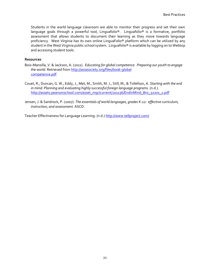Students in the world language classroom are able to monitor their progress and set their own language goals through a powerful tool, Linguafolio®. Linguafolio® is a formative, portfolio assessment that allows students to document their learning as they move towards language proficiency. West Virginia has its own online LinguaFolio® platform which can be utilized by any student in the West Virginia public school system. Linguafolio® is available by logging on to Webtop and accessing student tools.

#### **Resources**

- Boix-Mansilla, V. & Jackson, A. (2011). *Educating for global competence: Preparing our youth to engage the world*. Retrieved from [http://asiasociety.org/files/book-global](http://asiasociety.org/files/book-globalcompetence.pdf) [competence.pdf](http://asiasociety.org/files/book-globalcompetence.pdf)
- Couet, R., Duncan, G. W., Eddy, J., Met, M., Smith, M. J., Still, M., & Tollefson, A. *Starting with the end in mind: Planning and evaluating highly successful foreign language programs.* (n.d.). [http://assets.pearsonschool.com/asset\\_mgr/current/201136/EndinMind\\_Bro\\_32201\\_1.pdf](http://assets.pearsonschool.com/asset_mgr/current/201136/EndinMind_Bro_32201_1.pdf)
- Jensen, J. & Sandrock, P. (2007). *The essentials of world languages, grades K-12: effective curriculum, instruction, and assessment.* ASCD.

Teacher Effectiveness for Language Learning. (n.d.)<http://www.tellproject.com/>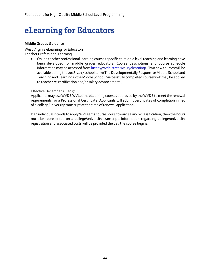### <span id="page-21-0"></span>eLearning for Educators

#### **Middle Grades Guidance**

West Virginia eLearning for Educators Teacher Professional Learning

> Online teacher professional learning courses specific to middle level teaching and learning have been developed for middle grades educators. Course descriptions and course schedule information may be accessed fro[m https://wvde.state.wv.us/elearning/.](https://wvde.state.wv.us/elearning/) Two new courses will be available during the 2016-2017 school term: The Developmentally Responsive Middle School and Teaching and Learning in the Middle School. Successfully completed coursework may be applied to teacher re-certification and/or salary advancement.

#### Effective December 11, 2017

Applicants may use WVDE WVLearns eLearning courses approved by the WVDE to meet the renewal requirements for a Professional Certificate. Applicants will submit certificates of completion in lieu of a college/university transcript at the time of renewal application.

If an individual intends to apply WVLearns course hours toward salary reclassification, then the hours must be represented on a college/university transcript. Information regarding college/university registration and associated costs will be provided the day the course begins.